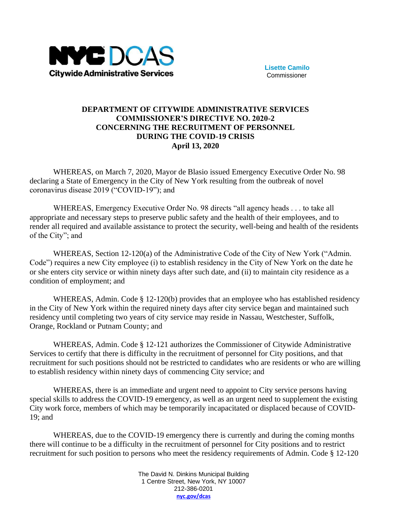

**Lisette Camilo** Commissioner

## **DEPARTMENT OF CITYWIDE ADMINISTRATIVE SERVICES COMMISSIONER'S DIRECTIVE NO. 2020-2 CONCERNING THE RECRUITMENT OF PERSONNEL DURING THE COVID-19 CRISIS April 13, 2020**

WHEREAS, on March 7, 2020, Mayor de Blasio issued Emergency Executive Order No. 98 declaring a State of Emergency in the City of New York resulting from the outbreak of novel coronavirus disease 2019 ("COVID-19"); and

WHEREAS, Emergency Executive Order No. 98 directs "all agency heads . . . to take all appropriate and necessary steps to preserve public safety and the health of their employees, and to render all required and available assistance to protect the security, well-being and health of the residents of the City"; and

WHEREAS, Section 12-120(a) of the Administrative Code of the City of New York ("Admin. Code") requires a new City employee (i) to establish residency in the City of New York on the date he or she enters city service or within ninety days after such date, and (ii) to maintain city residence as a condition of employment; and

WHEREAS, Admin. Code § 12-120(b) provides that an employee who has established residency in the City of New York within the required ninety days after city service began and maintained such residency until completing two years of city service may reside in Nassau, Westchester, Suffolk, Orange, Rockland or Putnam County; and

WHEREAS, Admin. Code § 12-121 authorizes the Commissioner of Citywide Administrative Services to certify that there is difficulty in the recruitment of personnel for City positions, and that recruitment for such positions should not be restricted to candidates who are residents or who are willing to establish residency within ninety days of commencing City service; and

WHEREAS, there is an immediate and urgent need to appoint to City service persons having special skills to address the COVID-19 emergency, as well as an urgent need to supplement the existing City work force, members of which may be temporarily incapacitated or displaced because of COVID-19; and

WHEREAS, due to the COVID-19 emergency there is currently and during the coming months there will continue to be a difficulty in the recruitment of personnel for City positions and to restrict recruitment for such position to persons who meet the residency requirements of Admin. Code § 12-120

> The David N. Dinkins Municipal Building 1 Centre Street, New York, NY 10007 212-386-0201 **[nyc.gov/dcas](http://www.nyc.gov/dcas)**